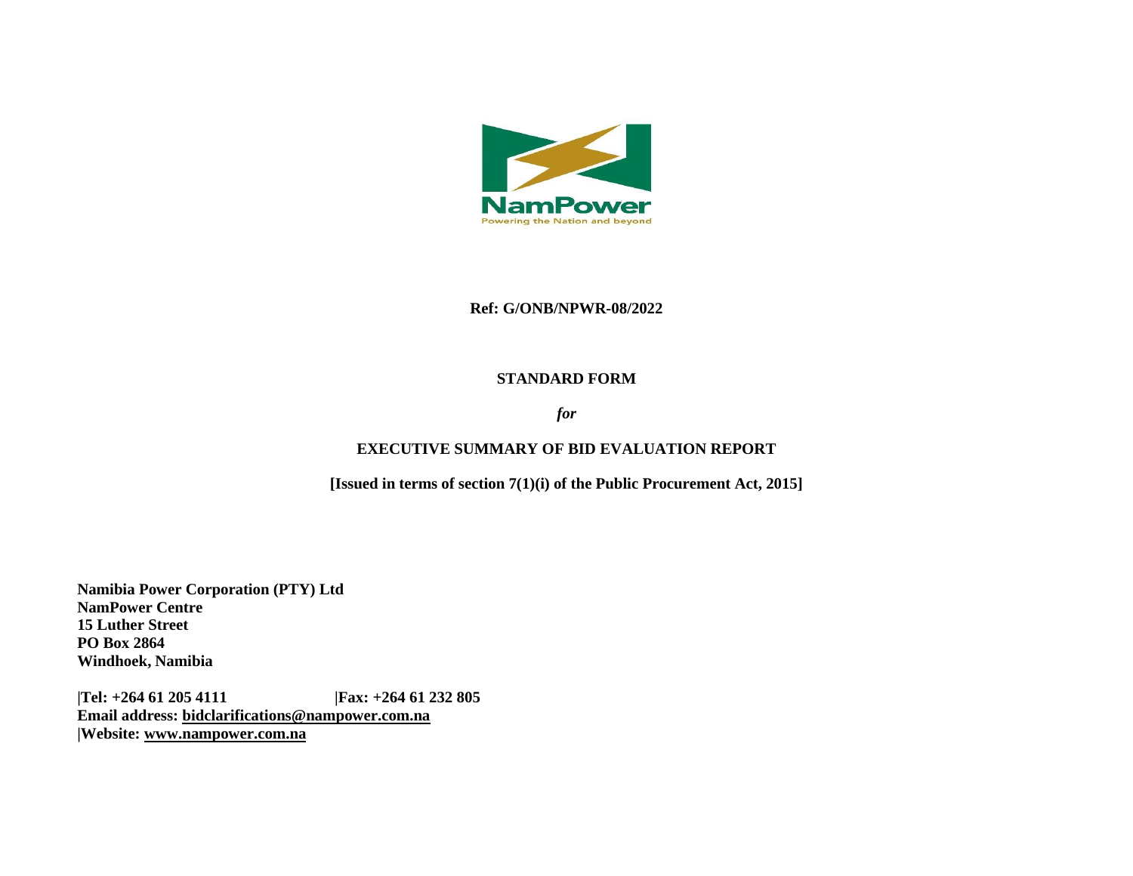

#### **Ref: G/ONB/NPWR-08/2022**

#### **STANDARD FORM**

## *for*

## **EXECUTIVE SUMMARY OF BID EVALUATION REPORT**

**[Issued in terms of section 7(1)(i) of the Public Procurement Act, 2015]** 

**Namibia Power Corporation (PTY) Ltd NamPower Centre 15 Luther Street PO Box 2864 Windhoek, Namibia**

**|Tel: +264 61 205 4111 |Fax: +264 61 232 805 Email address: [bidclarifications@nampower.com.na](mailto:bidclarifications@nampower.com.na) |Website: [www.n](http://www./)ampower.com.na**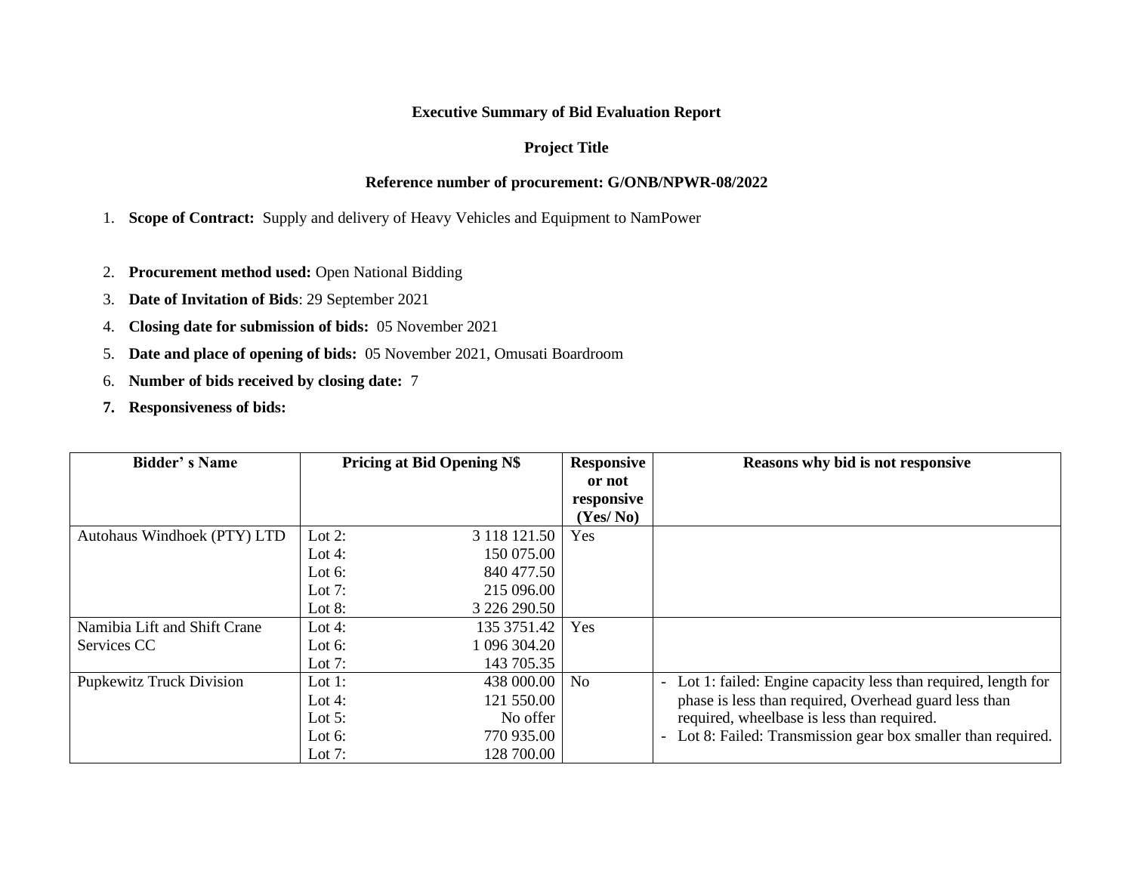# **Executive Summary of Bid Evaluation Report**

# **Project Title**

# **Reference number of procurement: G/ONB/NPWR-08/2022**

1. **Scope of Contract:** Supply and delivery of Heavy Vehicles and Equipment to NamPower

- 2. **Procurement method used:** Open National Bidding
- 3. **Date of Invitation of Bids**: 29 September 2021
- 4. **Closing date for submission of bids:** 05 November 2021
- 5. **Date and place of opening of bids:** 05 November 2021, Omusati Boardroom
- 6. **Number of bids received by closing date:** 7
- **7. Responsiveness of bids:**

| <b>Bidder's Name</b>            | <b>Pricing at Bid Opening N\$</b> | <b>Responsive</b> | Reasons why bid is not responsive                             |
|---------------------------------|-----------------------------------|-------------------|---------------------------------------------------------------|
|                                 |                                   | or not            |                                                               |
|                                 |                                   | responsive        |                                                               |
|                                 |                                   | (Yes/No)          |                                                               |
| Autohaus Windhoek (PTY) LTD     | Lot 2:<br>3 118 121.50            | Yes               |                                                               |
|                                 | 150 075.00<br>Lot 4:              |                   |                                                               |
|                                 | 840 477.50<br>Lot 6:              |                   |                                                               |
|                                 | 215 096.00<br>Lot $7:$            |                   |                                                               |
|                                 | 3 226 290.50<br>Lot $8:$          |                   |                                                               |
| Namibia Lift and Shift Crane    | 135 3751.42<br>Lot 4:             | Yes               |                                                               |
| Services CC                     | 096 304.20<br>Lot $6$ :           |                   |                                                               |
|                                 | 143 705.35<br>Lot $7:$            |                   |                                                               |
| <b>Pupkewitz Truck Division</b> | 438 000.00<br>Lot 1:              | N <sub>0</sub>    | Lot 1: failed: Engine capacity less than required, length for |
|                                 | 121 550.00<br>Lot 4:              |                   | phase is less than required, Overhead guard less than         |
|                                 | No offer<br>Lot $5:$              |                   | required, wheelbase is less than required.                    |
|                                 | 770 935.00<br>Lot $6$ :           |                   | Lot 8: Failed: Transmission gear box smaller than required.   |
|                                 | 128 700.00<br>Lot $7:$            |                   |                                                               |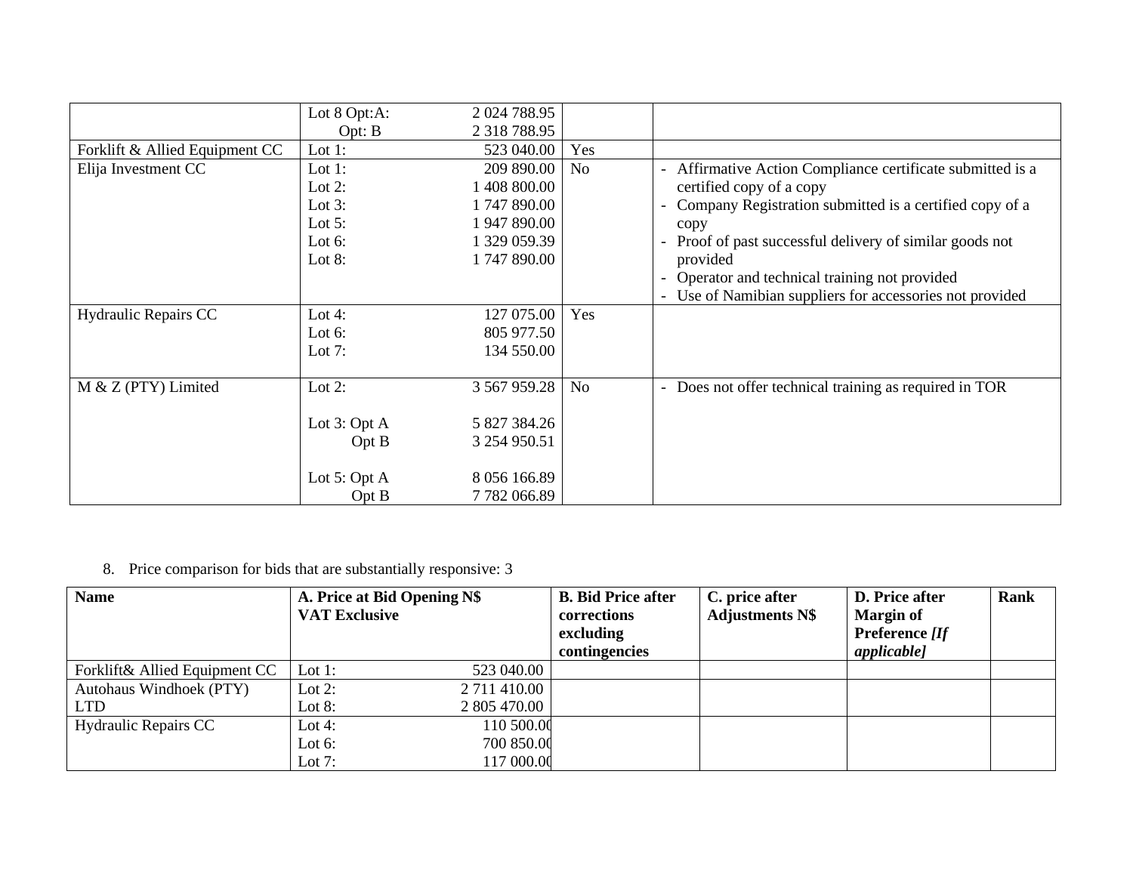|                                | Lot 8 Opt:A: | 2 024 788.95        |                |                                                          |
|--------------------------------|--------------|---------------------|----------------|----------------------------------------------------------|
|                                | Opt: B       | 2 3 18 7 8 8.95     |                |                                                          |
| Forklift & Allied Equipment CC | Lot $1$ :    | 523 040.00          | Yes            |                                                          |
| Elija Investment CC            | Lot $1$ :    | 209 890.00          | No             | Affirmative Action Compliance certificate submitted is a |
|                                | Lot $2$ :    | 1 408 800.00        |                | certified copy of a copy                                 |
|                                | Lot $3$ :    | 1747890.00          |                | Company Registration submitted is a certified copy of a  |
|                                | Lot $5$ :    | 1 947 890.00        |                | copy                                                     |
|                                | Lot $6$ :    | 1 329 059.39        |                | Proof of past successful delivery of similar goods not   |
|                                | Lot $8:$     | 1747890.00          |                | provided                                                 |
|                                |              |                     |                | Operator and technical training not provided             |
|                                |              |                     |                | Use of Namibian suppliers for accessories not provided   |
| Hydraulic Repairs CC           | Lot 4:       | 127 075.00          | Yes            |                                                          |
|                                | Lot $6:$     | 805 977.50          |                |                                                          |
|                                | Lot 7:       | 134 550.00          |                |                                                          |
|                                |              |                     |                |                                                          |
| $M & Z$ (PTY) Limited          | Lot $2$ :    | 3 5 6 7 9 5 9 . 2 8 | N <sub>o</sub> | - Does not offer technical training as required in TOR   |
|                                |              |                     |                |                                                          |
|                                | Lot 3: Opt A | 5 827 384.26        |                |                                                          |
|                                | Opt B        | 3 254 950.51        |                |                                                          |
|                                |              |                     |                |                                                          |
|                                | Lot 5: Opt A | 8 056 166.89        |                |                                                          |
|                                | Opt B        | 7782066.89          |                |                                                          |

8. Price comparison for bids that are substantially responsive: 3

| <b>Name</b>                   | A. Price at Bid Opening N\$ | <b>B. Bid Price after</b> | C. price after         | <b>D.</b> Price after | <b>Rank</b> |
|-------------------------------|-----------------------------|---------------------------|------------------------|-----------------------|-------------|
|                               | <b>VAT Exclusive</b>        | corrections               | <b>Adjustments N\$</b> | <b>Margin of</b>      |             |
|                               |                             | excluding                 |                        | Preference [If        |             |
|                               |                             | contingencies             |                        | <i>applicable]</i>    |             |
| Forklift& Allied Equipment CC | 523 040.00<br>Lot 1:        |                           |                        |                       |             |
| Autohaus Windhoek (PTY)       | 2 711 410.00<br>Lot 2:      |                           |                        |                       |             |
| <b>LTD</b>                    | Lot $8:$<br>2 805 470.00    |                           |                        |                       |             |
| <b>Hydraulic Repairs CC</b>   | 110 500.00<br>Lot 4:        |                           |                        |                       |             |
|                               | 700 850.00<br>Lot $6:$      |                           |                        |                       |             |
|                               | Lot $7:$<br>117 000.00      |                           |                        |                       |             |